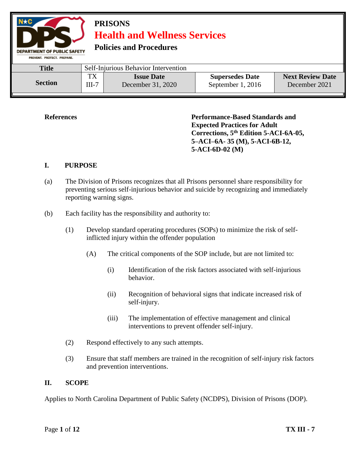

**References Performance-Based Standards and Expected Practices for Adult Corrections, 5th Edition 5-ACI-6A-05, 5–ACI–6A- 35 (M), 5-ACI-6B-12, 5-ACI-6D-02 (M)**

#### **I. PURPOSE**

- (a) The Division of Prisons recognizes that all Prisons personnel share responsibility for preventing serious self-injurious behavior and suicide by recognizing and immediately reporting warning signs.
- (b) Each facility has the responsibility and authority to:
	- (1) Develop standard operating procedures (SOPs) to minimize the risk of selfinflicted injury within the offender population
		- (A) The critical components of the SOP include, but are not limited to:
			- (i) Identification of the risk factors associated with self-injurious behavior.
			- (ii) Recognition of behavioral signs that indicate increased risk of self-injury.
			- (iii) The implementation of effective management and clinical interventions to prevent offender self-injury.
	- (2) Respond effectively to any such attempts.
	- (3) Ensure that staff members are trained in the recognition of self-injury risk factors and prevention interventions.

#### **II. SCOPE**

Applies to North Carolina Department of Public Safety (NCDPS), Division of Prisons (DOP).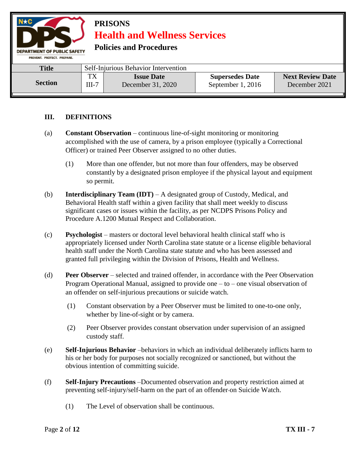

**Policies and Procedures** 

| <b>Title</b>   | Self-Injurious Behavior Intervention |                   |                        |                         |
|----------------|--------------------------------------|-------------------|------------------------|-------------------------|
| <b>Section</b> | ${\bf \tau v}$                       | <b>Issue Date</b> | <b>Supersedes Date</b> | <b>Next Review Date</b> |
|                | $III-7$                              | December 31, 2020 | September 1, 2016      | December 2021           |

### **III. DEFINITIONS**

- (a) **Constant Observation**  continuous line-of-sight monitoring or monitoring accomplished with the use of camera, by a prison employee (typically a Correctional Officer) or trained Peer Observer assigned to no other duties.
	- (1) More than one offender, but not more than four offenders, may be observed constantly by a designated prison employee if the physical layout and equipment so permit.
- (b) **Interdisciplinary Team (IDT)** A designated group of Custody, Medical, and Behavioral Health staff within a given facility that shall meet weekly to discuss significant cases or issues within the facility, as per NCDPS Prisons Policy and Procedure A.1200 Mutual Respect and Collaboration.
- (c) **Psychologist**  masters or doctoral level behavioral health clinical staff who is appropriately licensed under North Carolina state statute or a license eligible behavioral health staff under the North Carolina state statute and who has been assessed and granted full privileging within the Division of Prisons, Health and Wellness.
- (d) **Peer Observer**  selected and trained offender, in accordance with the Peer Observation Program Operational Manual, assigned to provide one – to – one visual observation of an offender on self-injurious precautions or suicide watch.
	- (1) Constant observation by a Peer Observer must be limited to one-to-one only, whether by line-of-sight or by camera.
	- (2) Peer Observer provides constant observation under supervision of an assigned custody staff.
- (e) **Self-Injurious Behavior** –behaviors in which an individual deliberately inflicts harm to his or her body for purposes not socially recognized or sanctioned, but without the obvious intention of committing suicide.
- (f) **Self-Injury Precautions** –Documented observation and property restriction aimed at preventing self-injury/self-harm on the part of an offender on Suicide Watch.
	- (1) The Level of observation shall be continuous.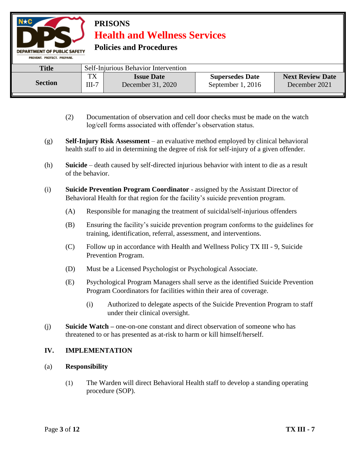**Policies and Procedures** 

DEPARTMENT OF PUBLIC SAFETY

| PREVENT, PROTECT, PREPARE, |               |                                        |                                               |                                          |  |
|----------------------------|---------------|----------------------------------------|-----------------------------------------------|------------------------------------------|--|
| <b>Title</b>               |               | Self-Injurious Behavior Intervention   |                                               |                                          |  |
| <b>Section</b>             | TX<br>$III-7$ | <b>Issue Date</b><br>December 31, 2020 | <b>Supersedes Date</b><br>September $1, 2016$ | <b>Next Review Date</b><br>December 2021 |  |

- (2) Documentation of observation and cell door checks must be made on the watch log/cell forms associated with offender's observation status.
- (g) **Self-Injury Risk Assessment**  an evaluative method employed by clinical behavioral health staff to aid in determining the degree of risk for self-injury of a given offender.
- (h) **Suicide**  death caused by self-directed injurious behavior with intent to die as a result of the behavior.
- (i) **Suicide Prevention Program Coordinator** assigned by the Assistant Director of Behavioral Health for that region for the facility's suicide prevention program.
	- (A) Responsible for managing the treatment of suicidal/self-injurious offenders
	- (B) Ensuring the facility's suicide prevention program conforms to the guidelines for training, identification, referral, assessment, and interventions.
	- (C) Follow up in accordance with Health and Wellness Policy TX III 9, Suicide Prevention Program.
	- (D) Must be a Licensed Psychologist or Psychological Associate.
	- (E) Psychological Program Managers shall serve as the identified Suicide Prevention Program Coordinators for facilities within their area of coverage.
		- (i) Authorized to delegate aspects of the Suicide Prevention Program to staff under their clinical oversight.
- (j) **Suicide Watch –** one-on-one constant and direct observation of someone who has threatened to or has presented as at-risk to harm or kill himself/herself.

### **IV. IMPLEMENTATION**

### (a) **Responsibility**

(1) The Warden will direct Behavioral Health staff to develop a standing operating procedure (SOP).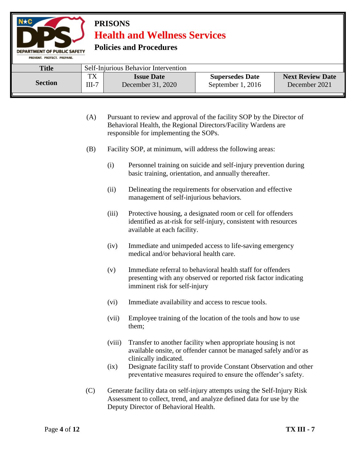**Policies and Procedures** 

| PREVENT, PROTECT, PREPARE, |               |                                        |                                             |                                          |
|----------------------------|---------------|----------------------------------------|---------------------------------------------|------------------------------------------|
| <b>Title</b>               |               | Self-Injurious Behavior Intervention   |                                             |                                          |
| <b>Section</b>             | TX<br>$III-7$ | <b>Issue Date</b><br>December 31, 2020 | <b>Supersedes Date</b><br>September 1, 2016 | <b>Next Review Date</b><br>December 2021 |

- (A) Pursuant to review and approval of the facility SOP by the Director of Behavioral Health, the Regional Directors/Facility Wardens are responsible for implementing the SOPs.
- (B) Facility SOP, at minimum, will address the following areas:
	- (i) Personnel training on suicide and self-injury prevention during basic training, orientation, and annually thereafter.
	- (ii) Delineating the requirements for observation and effective management of self-injurious behaviors.
	- (iii) Protective housing, a designated room or cell for offenders identified as at-risk for self-injury, consistent with resources available at each facility.
	- (iv) Immediate and unimpeded access to life-saving emergency medical and/or behavioral health care.
	- (v) Immediate referral to behavioral health staff for offenders presenting with any observed or reported risk factor indicating imminent risk for self-injury
	- (vi) Immediate availability and access to rescue tools.
	- (vii) Employee training of the location of the tools and how to use them;
	- (viii) Transfer to another facility when appropriate housing is not available onsite, or offender cannot be managed safely and/or as clinically indicated.
	- (ix) Designate facility staff to provide Constant Observation and other preventative measures required to ensure the offender's safety.
- (C) Generate facility data on self-injury attempts using the Self-Injury Risk Assessment to collect, trend, and analyze defined data for use by the Deputy Director of Behavioral Health.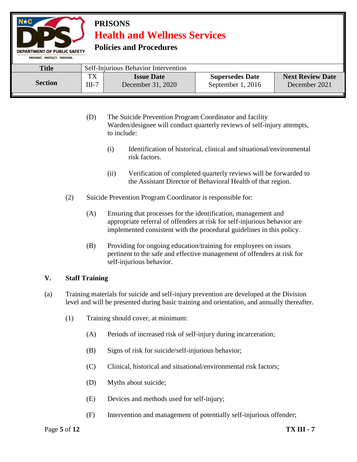**Policies and Procedures** 

| PREVENT, PROTECT, PREPARE, |                     |                                        |                                             |                                          |
|----------------------------|---------------------|----------------------------------------|---------------------------------------------|------------------------------------------|
| <b>Title</b>               |                     | Self-Injurious Behavior Intervention   |                                             |                                          |
| <b>Section</b>             | тv<br>1А<br>$III-7$ | <b>Issue Date</b><br>December 31, 2020 | <b>Supersedes Date</b><br>September 1, 2016 | <b>Next Review Date</b><br>December 2021 |

- (D) The Suicide Prevention Program Coordinator and facility Warden/designee will conduct quarterly reviews of self-injury attempts, to include:
	- (i) Identification of historical, clinical and situational/environmental risk factors.
	- (ii) Verification of completed quarterly reviews will be forwarded to the Assistant Director of Behavioral Health of that region.
- (2) Suicide Prevention Program Coordinator is responsible for:
	- (A) Ensuring that processes for the identification, management and appropriate referral of offenders at risk for self-injurious behavior are implemented consistent with the procedural guidelines in this policy.
	- (B) Providing for ongoing education/training for employees on issues pertinent to the safe and effective management of offenders at risk for self-injurious behavior.

### **V. Staff Training**

- (a) Training materials for suicide and self-injury prevention are developed at the Division level and will be presented during basic training and orientation, and annually thereafter.
	- (1) Training should cover, at minimum:
		- (A) Periods of increased risk of self-injury during incarceration;
		- (B) Signs of risk for suicide/self-injurious behavior;
		- (C) Clinical, historical and situational/environmental risk factors;
		- (D) Myths about suicide;
		- (E) Devices and methods used for self-injury;
		- (F) Intervention and management of potentially self-injurious offender;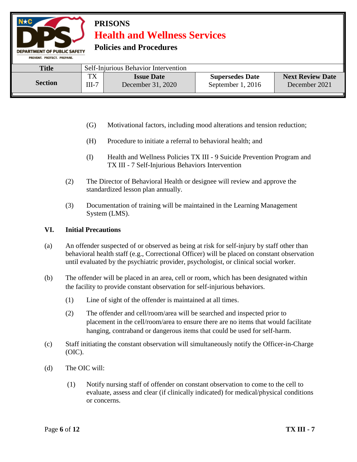**Policies and Procedures** 

| <b>FREVERIL FROJECT: FREFARE:</b> |               |                                        |                                             |                                          |
|-----------------------------------|---------------|----------------------------------------|---------------------------------------------|------------------------------------------|
| <b>Title</b>                      |               | Self-Injurious Behavior Intervention   |                                             |                                          |
| <b>Section</b>                    | ТX<br>$III-7$ | <b>Issue Date</b><br>December 31, 2020 | <b>Supersedes Date</b><br>September 1, 2016 | <b>Next Review Date</b><br>December 2021 |

- (G) Motivational factors, including mood alterations and tension reduction;
- (H) Procedure to initiate a referral to behavioral health; and
- (I) Health and Wellness Policies TX III 9 Suicide Prevention Program and TX III - 7 Self-Injurious Behaviors Intervention
- (2) The Director of Behavioral Health or designee will review and approve the standardized lesson plan annually.
- (3) Documentation of training will be maintained in the Learning Management System (LMS).

#### **VI. Initial Precautions**

- (a) An offender suspected of or observed as being at risk for self-injury by staff other than behavioral health staff (e.g., Correctional Officer) will be placed on constant observation until evaluated by the psychiatric provider, psychologist, or clinical social worker.
- (b) The offender will be placed in an area, cell or room, which has been designated within the facility to provide constant observation for self-injurious behaviors.
	- (1) Line of sight of the offender is maintained at all times.
	- (2) The offender and cell/room/area will be searched and inspected prior to placement in the cell/room/area to ensure there are no items that would facilitate hanging, contraband or dangerous items that could be used for self-harm.
- (c) Staff initiating the constant observation will simultaneously notify the Officer-in-Charge (OIC).
- (d) The OIC will:
	- (1) Notify nursing staff of offender on constant observation to come to the cell to evaluate, assess and clear (if clinically indicated) for medical/physical conditions or concerns.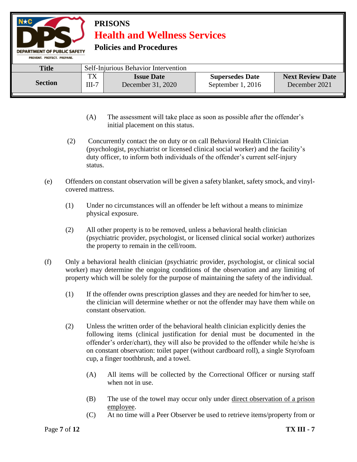**Policies and Procedures** 

| PREVENT, PROTECT, PREPARE, |                      |                                        |                                               |                                          |  |  |
|----------------------------|----------------------|----------------------------------------|-----------------------------------------------|------------------------------------------|--|--|
| <b>Title</b>               |                      | Self-Injurious Behavior Intervention   |                                               |                                          |  |  |
| <b>Section</b>             | тv<br>1 A<br>$III-7$ | <b>Issue Date</b><br>December 31, 2020 | <b>Supersedes Date</b><br>September 1, $2016$ | <b>Next Review Date</b><br>December 2021 |  |  |

- (A) The assessment will take place as soon as possible after the offender's initial placement on this status.
- (2) Concurrently contact the on duty or on call Behavioral Health Clinician (psychologist, psychiatrist or licensed clinical social worker) and the facility's duty officer, to inform both individuals of the offender's current self-injury status.
- (e) Offenders on constant observation will be given a safety blanket, safety smock, and vinylcovered mattress.
	- (1) Under no circumstances will an offender be left without a means to minimize physical exposure.
	- (2) All other property is to be removed, unless a behavioral health clinician (psychiatric provider, psychologist, or licensed clinical social worker) authorizes the property to remain in the cell/room.
- (f) Only a behavioral health clinician (psychiatric provider, psychologist, or clinical social worker) may determine the ongoing conditions of the observation and any limiting of property which will be solely for the purpose of maintaining the safety of the individual.
	- (1) If the offender owns prescription glasses and they are needed for him/her to see, the clinician will determine whether or not the offender may have them while on constant observation.
	- (2) Unless the written order of the behavioral health clinician explicitly denies the following items (clinical justification for denial must be documented in the offender's order/chart), they will also be provided to the offender while he/she is on constant observation: toilet paper (without cardboard roll), a single Styrofoam cup, a finger toothbrush, and a towel.
		- (A) All items will be collected by the Correctional Officer or nursing staff when not in use.
		- (B) The use of the towel may occur only under direct observation of a prison employee.
		- (C) At no time will a Peer Observer be used to retrieve items/property from or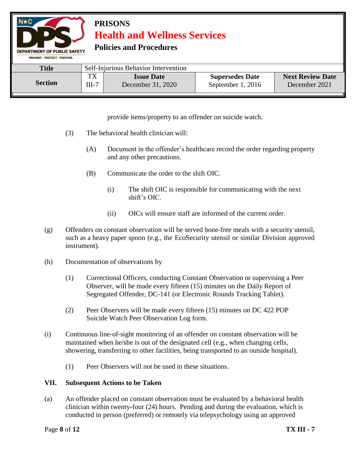**Policies and Procedures** 

DEPARTMENT OF PUBLIC SAFETY

| PREVENT, PROTECT, PREPARE, |               |                                        |                                             |                                          |
|----------------------------|---------------|----------------------------------------|---------------------------------------------|------------------------------------------|
| <b>Title</b>               |               | Self-Injurious Behavior Intervention   |                                             |                                          |
| <b>Section</b>             | TX<br>$III-7$ | <b>Issue Date</b><br>December 31, 2020 | <b>Supersedes Date</b><br>September 1, 2016 | <b>Next Review Date</b><br>December 2021 |

provide items/property to an offender on suicide watch.

- (3) The behavioral health clinician will:
	- (A) Document in the offender's healthcare record the order regarding property and any other precautions.
	- (B) Communicate the order to the shift OIC.
		- (i) The shift OIC is responsible for communicating with the next shift's OIC.
		- (ii) OICs will ensure staff are informed of the current order.
- (g) Offenders on constant observation will be served bone-free meals with a security utensil, such as a heavy paper spoon (e.g., the EcoSecurity utensil or similar Division approved instrument).
- (h) Documentation of observations by
	- (1) Correctional Officers, conducting Constant Observation or supervising a Peer Observer, will be made every fifteen (15) minutes on the Daily Report of Segregated Offender, DC-141 (or Electronic Rounds Tracking Tablet).
	- (2) Peer Observers will be made every fifteen (15) minutes on DC 422 POP Suicide Watch Peer Observation Log form.
- (i) Continuous line-of-sight monitoring of an offender on constant observation will be maintained when he/she is out of the designated cell (e.g., when changing cells, showering, transferring to other facilities, being transported to an outside hospital).
	- (1) Peer Observers will not be used in these situations.

### **VII. Subsequent Actions to be Taken**

(a) An offender placed on constant observation must be evaluated by a behavioral health clinician within twenty-four (24) hours. Pending and during the evaluation, which is conducted in person (preferred) or remotely via telepsychology using an approved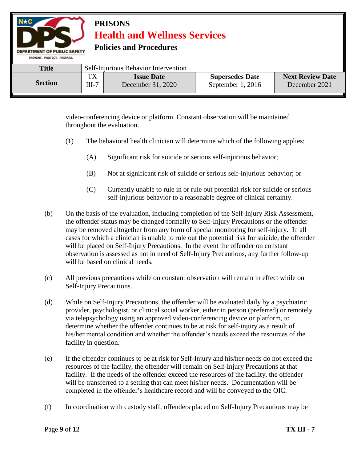| $N \star C$<br><b>PRISONS</b><br><b>Health and Wellness Services</b><br><b>Policies and Procedures</b><br><b>DEPARTMENT OF PUBLIC SAFETY</b><br>PREVENT, PROTECT, PREPARE,  |                                      |  |  |  |  |  |
|-----------------------------------------------------------------------------------------------------------------------------------------------------------------------------|--------------------------------------|--|--|--|--|--|
| <b>Title</b>                                                                                                                                                                | Self-Injurious Behavior Intervention |  |  |  |  |  |
| <b>TX</b><br><b>Next Review Date</b><br><b>Supersedes Date</b><br><b>Issue Date</b><br><b>Section</b><br>September 1, 2016<br>December 31, 2020<br>$III-7$<br>December 2021 |                                      |  |  |  |  |  |

video-conferencing device or platform. Constant observation will be maintained throughout the evaluation.

- (1) The behavioral health clinician will determine which of the following applies:
	- (A) Significant risk for suicide or serious self-injurious behavior;
	- (B) Not at significant risk of suicide or serious self-injurious behavior; or
	- (C) Currently unable to rule in or rule out potential risk for suicide or serious self-injurious behavior to a reasonable degree of clinical certainty.
- (b) On the basis of the evaluation, including completion of the Self-Injury Risk Assessment, the offender status may be changed formally to Self-Injury Precautions or the offender may be removed altogether from any form of special monitoring for self-injury. In all cases for which a clinician is unable to rule out the potential risk for suicide, the offender will be placed on Self-Injury Precautions. In the event the offender on constant observation is assessed as not in need of Self-Injury Precautions, any further follow-up will be based on clinical needs.
- (c) All previous precautions while on constant observation will remain in effect while on Self-Injury Precautions.
- (d) While on Self-Injury Precautions, the offender will be evaluated daily by a psychiatric provider, psychologist, or clinical social worker, either in person (preferred) or remotely via telepsychology using an approved video-conferencing device or platform, to determine whether the offender continues to be at risk for self-injury as a result of his/her mental condition and whether the offender's needs exceed the resources of the facility in question.
- (e) If the offender continues to be at risk for Self-Injury and his/her needs do not exceed the resources of the facility, the offender will remain on Self-Injury Precautions at that facility. If the needs of the offender exceed the resources of the facility, the offender will be transferred to a setting that can meet his/her needs. Documentation will be completed in the offender's healthcare record and will be conveyed to the OIC.
- (f) In coordination with custody staff, offenders placed on Self-Injury Precautions may be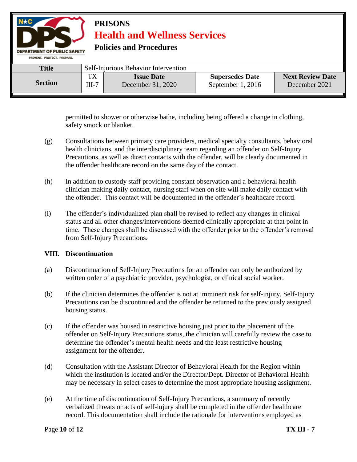

permitted to shower or otherwise bathe, including being offered a change in clothing, safety smock or blanket.

- (g) Consultations between primary care providers, medical specialty consultants, behavioral health clinicians, and the interdisciplinary team regarding an offender on Self-Injury Precautions, as well as direct contacts with the offender, will be clearly documented in the offender healthcare record on the same day of the contact.
- (h) In addition to custody staff providing constant observation and a behavioral health clinician making daily contact, nursing staff when on site will make daily contact with the offender. This contact will be documented in the offender's healthcare record.
- (i) The offender's individualized plan shall be revised to reflect any changes in clinical status and all other changes/interventions deemed clinically appropriate at that point in time. These changes shall be discussed with the offender prior to the offender's removal from Self-Injury Precautions.

#### **VIII. Discontinuation**

- (a) Discontinuation of Self-Injury Precautions for an offender can only be authorized by written order of a psychiatric provider, psychologist, or clinical social worker.
- (b) If the clinician determines the offender is not at imminent risk for self-injury, Self-Injury Precautions can be discontinued and the offender be returned to the previously assigned housing status.
- (c) If the offender was housed in restrictive housing just prior to the placement of the offender on Self-Injury Precautions status, the clinician will carefully review the case to determine the offender's mental health needs and the least restrictive housing assignment for the offender.
- (d) Consultation with the Assistant Director of Behavioral Health for the Region within which the institution is located and/or the Director/Dept. Director of Behavioral Health may be necessary in select cases to determine the most appropriate housing assignment.
- (e) At the time of discontinuation of Self-Injury Precautions, a summary of recently verbalized threats or acts of self-injury shall be completed in the offender healthcare record. This documentation shall include the rationale for interventions employed as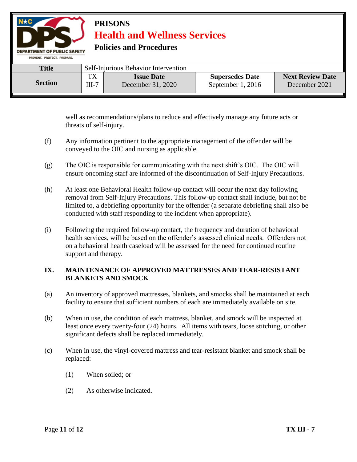

well as recommendations/plans to reduce and effectively manage any future acts or threats of self-injury.

- (f) Any information pertinent to the appropriate management of the offender will be conveyed to the OIC and nursing as applicable.
- (g) The OIC is responsible for communicating with the next shift's OIC. The OIC will ensure oncoming staff are informed of the discontinuation of Self-Injury Precautions.
- (h) At least one Behavioral Health follow-up contact will occur the next day following removal from Self-Injury Precautions. This follow-up contact shall include, but not be limited to, a debriefing opportunity for the offender (a separate debriefing shall also be conducted with staff responding to the incident when appropriate).
- (i) Following the required follow-up contact, the frequency and duration of behavioral health services, will be based on the offender's assessed clinical needs. Offenders not on a behavioral health caseload will be assessed for the need for continued routine support and therapy.

### **IX. MAINTENANCE OF APPROVED MATTRESSES AND TEAR-RESISTANT BLANKETS AND SMOCK**

- (a) An inventory of approved mattresses, blankets, and smocks shall be maintained at each facility to ensure that sufficient numbers of each are immediately available on site.
- (b) When in use, the condition of each mattress, blanket, and smock will be inspected at least once every twenty-four (24) hours. All items with tears, loose stitching, or other significant defects shall be replaced immediately.
- (c) When in use, the vinyl-covered mattress and tear-resistant blanket and smock shall be replaced:
	- (1) When soiled; or
	- (2) As otherwise indicated.